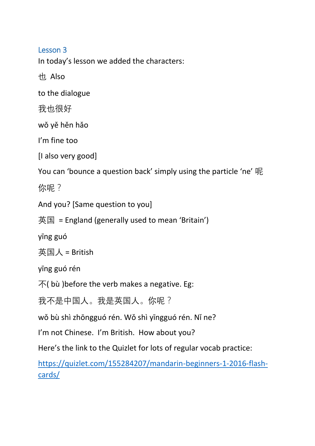Lesson 3

In today's lesson we added the characters:

也 Also

to the dialogue

我也很好

wǒ yě hěn hǎo

I'm fine too

[I also very good]

You can 'bounce a question back' simply using the particle 'ne' 呢

你呢?

And you? [Same question to you]

英国 = England (generally used to mean 'Britain')

yīng guó

英国人 = British

yīng guó rén

 $\overline{\mathcal{F}}$ ( bù ) before the verb makes a negative. Eg:

我不是中国人。我是英国人。你呢?

wǒ bù shì zhōngguó rén. Wǒ shì yīngguó rén. Nǐ ne?

I'm not Chinese. I'm British. How about you?

Here's the link to the Quizlet for lots of regular vocab practice:

[https://quizlet.com/155284207/mandarin-beginners-1-2016-flash](https://quizlet.com/155284207/mandarin-beginners-1-2016-flash-cards/)[cards/](https://quizlet.com/155284207/mandarin-beginners-1-2016-flash-cards/)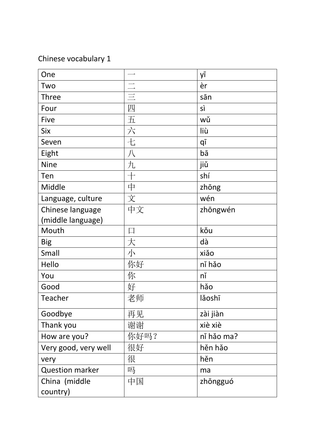## Chinese vocabulary 1

| One                    |      | yī         |
|------------------------|------|------------|
| Two                    |      | èr         |
| Three                  |      | sān        |
| Four                   | 四    | sì         |
| Five                   | 五    | wǔ         |
| <b>Six</b>             | 六    | liù        |
| Seven                  | 七    | qī         |
| Eight                  | 八    | bā         |
| <b>Nine</b>            | 九    | jiǔ        |
| Ten                    |      | shí        |
| Middle                 | 中    | zhōng      |
| Language, culture      | 文    | wén        |
| Chinese language       | 中文   | zhōngwén   |
| (middle language)      |      |            |
| Mouth                  |      | kǒu        |
| <b>Big</b>             | 大    | dà         |
| Small                  | 小    | xiǎo       |
| Hello                  | 你好   | ní hǎo     |
| You                    | 你    | nĭ         |
| Good                   | 好    | hǎo        |
| Teacher                | 老师   | lǎoshī     |
| Goodbye                | 再见   | zài jiàn   |
| Thank you              | 谢谢   | xiè xiè    |
| How are you?           | 你好吗? | ní hảo ma? |
| Very good, very well   | 很好   | hěn hǎo    |
| very                   | 很    | hěn        |
| <b>Question marker</b> | 吗    | ma         |
| China (middle          | 中国   | zhōngguó   |
| country)               |      |            |